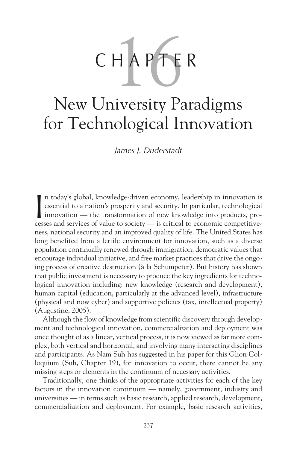# CHAPTE

## New University Paradigms for Technological Innovation

*James J. Duderstadt*

n today's global, knowledge-driven economy, leadership in innovation is essential to a nation's prosperity and security. In particular, technological innovation — the transformation of new knowledge into products, pro-In today's global, knowledge-driven economy, leadership in innovation is essential to a nation's prosperity and security. In particular, technological innovation — the transformation of new knowledge into products, process ness, national security and an improved quality of life. The United States has long benefited from a fertile environment for innovation, such as a diverse population continually renewed through immigration, democratic values that encourage individual initiative, and free market practices that drive the ongoing process of creative destruction (à la Schumpeter). But history has shown that public investment is necessary to produce the key ingredients for technological innovation including: new knowledge (research and development), human capital (education, particularly at the advanced level), infrastructure (physical and now cyber) and supportive policies (tax, intellectual property) (Augustine, 2005).

Although the flow of knowledge from scientific discovery through development and technological innovation, commercialization and deployment was once thought of as a linear, vertical process, it is now viewed as far more complex, both vertical and horizontal, and involving many interacting disciplines and participants. As Nam Suh has suggested in his paper for this Glion Colloquium (Suh, Chapter 19), for innovation to occur, there cannot be any missing steps or elements in the continuum of necessary activities.

Traditionally, one thinks of the appropriate activities for each of the key factors in the innovation continuum — namely, government, industry and universities — in terms such as basic research, applied research, development, commercialization and deployment. For example, basic research activities,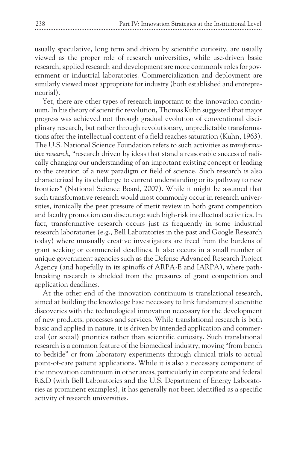usually speculative, long term and driven by scientific curiosity, are usually viewed as the proper role of research universities, while use-driven basic research, applied research and development are more commonly roles for government or industrial laboratories. Commercialization and deployment are similarly viewed most appropriate for industry (both established and entrepreneurial).

Yet, there are other types of research important to the innovation continuum. In his theory of scientific revolution, Thomas Kuhn suggested that major progress was achieved not through gradual evolution of conventional disciplinary research, but rather through revolutionary, unpredictable transformations after the intellectual content of a field reaches saturation (Kuhn, 1963). The U.S. National Science Foundation refers to such activities as *transformative research*, "research driven by ideas that stand a reasonable success of radically changing our understanding of an important existing concept or leading to the creation of a new paradigm or field of science. Such research is also characterized by its challenge to current understanding or its pathway to new frontiers" (National Science Board, 2007). While it might be assumed that such transformative research would most commonly occur in research universities, ironically the peer pressure of merit review in both grant competition and faculty promotion can discourage such high-risk intellectual activities. In fact, transformative research occurs just as frequently in some industrial research laboratories (e.g., Bell Laboratories in the past and Google Research today) where unusually creative investigators are freed from the burdens of grant seeking or commercial deadlines. It also occurs in a small number of unique government agencies such as the Defense Advanced Research Project Agency (and hopefully in its spinoffs of ARPA-E and IARPA), where pathbreaking research is shielded from the pressures of grant competition and application deadlines.

At the other end of the innovation continuum is translational research, aimed at building the knowledge base necessary to link fundamental scientific discoveries with the technological innovation necessary for the development of new products, processes and services. While translational research is both basic and applied in nature, it is driven by intended application and commercial (or social) priorities rather than scientific curiosity. Such translational research is a common feature of the biomedical industry, moving "from bench to bedside" or from laboratory experiments through clinical trials to actual point-of-care patient applications. While it is also a necessary component of the innovation continuum in other areas, particularly in corporate and federal R&D (with Bell Laboratories and the U.S. Department of Energy Laboratories as prominent examples), it has generally not been identified as a specific activity of research universities.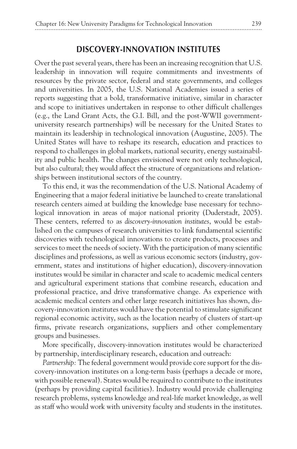### **DISCOVERY-INNOVATION INSTITUTES**

Over the past several years, there has been an increasing recognition that U.S. leadership in innovation will require commitments and investments of resources by the private sector, federal and state governments, and colleges and universities. In 2005, the U.S. National Academies issued a series of reports suggesting that a bold, transformative initiative, similar in character and scope to initiatives undertaken in response to other difficult challenges (e.g., the Land Grant Acts, the G.I. Bill, and the post-WWII governmentuniversity research partnerships) will be necessary for the United States to maintain its leadership in technological innovation (Augustine, 2005). The United States will have to reshape its research, education and practices to respond to challenges in global markets, national security, energy sustainability and public health. The changes envisioned were not only technological, but also cultural; they would affect the structure of organizations and relationships between institutional sectors of the country.

To this end, it was the recommendation of the U.S. National Academy of Engineering that a major federal initiative be launched to create translational research centers aimed at building the knowledge base necessary for technological innovation in areas of major national priority (Duderstadt, 2005). These centers, referred to as *discovery-innovation institutes*, would be established on the campuses of research universities to link fundamental scientific discoveries with technological innovations to create products, processes and services to meet the needs of society. With the participation of many scientific disciplines and professions, as well as various economic sectors (industry, government, states and institutions of higher education), discovery-innovation institutes would be similar in character and scale to academic medical centers and agricultural experiment stations that combine research, education and professional practice, and drive transformative change. As experience with academic medical centers and other large research initiatives has shown, discovery-innovation institutes would have the potential to stimulate significant regional economic activity, such as the location nearby of clusters of start-up firms, private research organizations, suppliers and other complementary groups and businesses.

More specifically, discovery-innovation institutes would be characterized by partnership, interdisciplinary research, education and outreach:

*Partnership:* The federal government would provide core support for the discovery-innovation institutes on a long-term basis (perhaps a decade or more, with possible renewal). States would be required to contribute to the institutes (perhaps by providing capital facilities). Industry would provide challenging research problems, systems knowledge and real-life market knowledge, as well as staff who would work with university faculty and students in the institutes.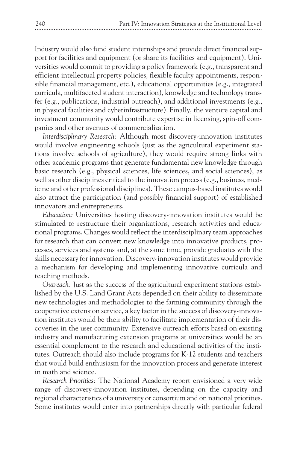Industry would also fund student internships and provide direct financial support for facilities and equipment (or share its facilities and equipment). Universities would commit to providing a policy framework (e.g., transparent and efficient intellectual property policies, flexible faculty appointments, responsible financial management, etc.), educational opportunities (e.g., integrated curricula, multifaceted student interaction), knowledge and technology transfer (e.g., publications, industrial outreach), and additional investments (e.g., in physical facilities and cyberinfrastructure). Finally, the venture capital and investment community would contribute expertise in licensing, spin-off companies and other avenues of commercialization.

*Interdisciplinary Research:* Although most discovery-innovation institutes would involve engineering schools (just as the agricultural experiment stations involve schools of agriculture), they would require strong links with other academic programs that generate fundamental new knowledge through basic research (e.g., physical sciences, life sciences, and social sciences), as well as other disciplines critical to the innovation process (e.g., business, medicine and other professional disciplines). These campus-based institutes would also attract the participation (and possibly financial support) of established innovators and entrepreneurs.

*Education:* Universities hosting discovery-innovation institutes would be stimulated to restructure their organizations, research activities and educational programs. Changes would reflect the interdisciplinary team approaches for research that can convert new knowledge into innovative products, processes, services and systems and, at the same time, provide graduates with the skills necessary for innovation. Discovery-innovation institutes would provide a mechanism for developing and implementing innovative curricula and teaching methods.

*Outreach:* Just as the success of the agricultural experiment stations established by the U.S. Land Grant Acts depended on their ability to disseminate new technologies and methodologies to the farming community through the cooperative extension service, a key factor in the success of discovery-innovation institutes would be their ability to facilitate implementation of their discoveries in the user community. Extensive outreach efforts based on existing industry and manufacturing extension programs at universities would be an essential complement to the research and educational activities of the institutes. Outreach should also include programs for K-12 students and teachers that would build enthusiasm for the innovation process and generate interest in math and science.

*Research Priorities:* The National Academy report envisioned a very wide range of discovery-innovation institutes, depending on the capacity and regional characteristics of a university or consortium and on national priorities. Some institutes would enter into partnerships directly with particular federal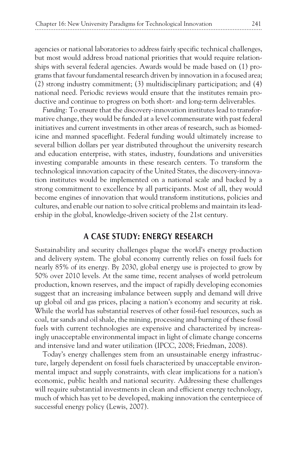agencies or national laboratories to address fairly specific technical challenges, but most would address broad national priorities that would require relationships with several federal agencies. Awards would be made based on (1) programs that favour fundamental research driven by innovation in a focused area; (2) strong industry commitment; (3) multidisciplinary participation; and (4) national need. Periodic reviews would ensure that the institutes remain productive and continue to progress on both short- and long-term deliverables.

*Funding:* To ensure that the discovery-innovation institutes lead to transformative change, they would be funded at a level commensurate with past federal initiatives and current investments in other areas of research, such as biomedicine and manned spaceflight. Federal funding would ultimately increase to several billion dollars per year distributed throughout the university research and education enterprise, with states, industry, foundations and universities investing comparable amounts in these research centers. To transform the technological innovation capacity of the United States, the discovery-innovation institutes would be implemented on a national scale and backed by a strong commitment to excellence by all participants. Most of all, they would become engines of innovation that would transform institutions, policies and cultures, and enable our nation to solve critical problems and maintain its leadership in the global, knowledge-driven society of the 21st century.

#### **A CASE STUDY: ENERGY RESEARCH**

Sustainability and security challenges plague the world's energy production and delivery system. The global economy currently relies on fossil fuels for nearly 85% of its energy. By 2030, global energy use is projected to grow by 50% over 2010 levels. At the same time, recent analyses of world petroleum production, known reserves, and the impact of rapidly developing economies suggest that an increasing imbalance between supply and demand will drive up global oil and gas prices, placing a nation's economy and security at risk. While the world has substantial reserves of other fossil-fuel resources, such as coal, tar sands and oil shale, the mining, processing and burning of these fossil fuels with current technologies are expensive and characterized by increasingly unacceptable environmental impact in light of climate change concerns and intensive land and water utilization (IPCC, 2008; Friedman, 2008).

Today's energy challenges stem from an unsustainable energy infrastructure, largely dependent on fossil fuels characterized by unacceptable environmental impact and supply constraints, with clear implications for a nation's economic, public health and national security. Addressing these challenges will require substantial investments in clean and efficient energy technology, much of which has yet to be developed, making innovation the centerpiece of successful energy policy (Lewis, 2007).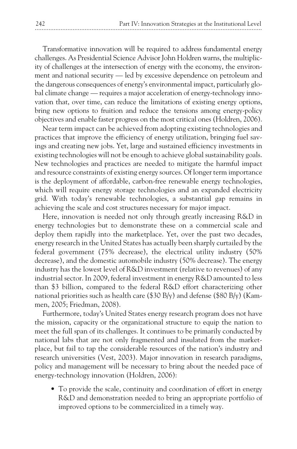Transformative innovation will be required to address fundamental energy challenges. As Presidential Science Advisor John Holdren warns, the multiplicity of challenges at the intersection of energy with the economy, the environment and national security — led by excessive dependence on petroleum and the dangerous consequences of energy's environmental impact, particularly global climate change — requires a major acceleration of energy-technology innovation that, over time, can reduce the limitations of existing energy options, bring new options to fruition and reduce the tensions among energy-policy objectives and enable faster progress on the most critical ones (Holdren, 2006).

Near term impact can be achieved from adopting existing technologies and practices that improve the efficiency of energy utilization, bringing fuel savings and creating new jobs. Yet, large and sustained efficiency investments in existing technologies will not be enough to achieve global sustainability goals. New technologies and practices are needed to mitigate the harmful impact and resource constraints of existing energy sources. Of longer term importance is the deployment of affordable, carbon-free renewable energy technologies, which will require energy storage technologies and an expanded electricity grid. With today's renewable technologies, a substantial gap remains in achieving the scale and cost structures necessary for major impact.

Here, innovation is needed not only through greatly increasing R&D in energy technologies but to demonstrate these on a commercial scale and deploy them rapidly into the marketplace. Yet, over the past two decades, energy research in the United States has actually been sharply curtailed by the federal government (75% decrease), the electrical utility industry (50% decrease), and the domestic automobile industry (50% decrease). The energy industry has the lowest level of R&D investment (relative to revenues) of any industrial sector. In 2009, federal investment in energy R&D amounted to less than \$3 billion, compared to the federal R&D effort characterizing other national priorities such as health care (\$30 B/y) and defense (\$80 B/y) (Kammen, 2005; Friedman, 2008).

Furthermore, today's United States energy research program does not have the mission, capacity or the organizational structure to equip the nation to meet the full span of its challenges. It continues to be primarily conducted by national labs that are not only fragmented and insulated from the marketplace, but fail to tap the considerable resources of the nation's industry and research universities (Vest, 2003). Major innovation in research paradigms, policy and management will be necessary to bring about the needed pace of energy-technology innovation (Holdren, 2006):

• To provide the scale, continuity and coordination of effort in energy R&D and demonstration needed to bring an appropriate portfolio of improved options to be commercialized in a timely way.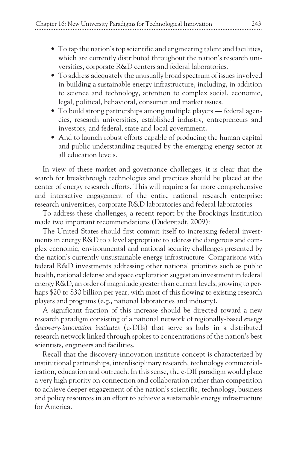- To tap the nation's top scientific and engineering talent and facilities, which are currently distributed throughout the nation's research universities, corporate R&D centers and federal laboratories.
- To address adequately the unusually broad spectrum of issues involved in building a sustainable energy infrastructure, including, in addition to science and technology, attention to complex social, economic, legal, political, behavioral, consumer and market issues.
- To build strong partnerships among multiple players federal agencies, research universities, established industry, entrepreneurs and investors, and federal, state and local government.
- And to launch robust efforts capable of producing the human capital and public understanding required by the emerging energy sector at all education levels.

In view of these market and governance challenges, it is clear that the search for breakthrough technologies and practices should be placed at the center of energy research efforts. This will require a far more comprehensive and interactive engagement of the entire national research enterprise: research universities, corporate R&D laboratories and federal laboratories.

To address these challenges, a recent report by the Brookings Institution made two important recommendations (Duderstadt, 2009):

The United States should first commit itself to increasing federal investments in energy R&D to a level appropriate to address the dangerous and complex economic, environmental and national security challenges presented by the nation's currently unsustainable energy infrastructure. Comparisons with federal R&D investments addressing other national priorities such as public health, national defense and space exploration suggest an investment in federal energy R&D, an order of magnitude greater than current levels, growing to perhaps \$20 to \$30 billion per year, with most of this flowing to existing research players and programs (e.g., national laboratories and industry).

A significant fraction of this increase should be directed toward a new research paradigm consisting of a national network of regionally-based *energy discovery-innovation institutes* (e-DIIs) that serve as hubs in a distributed research network linked through spokes to concentrations of the nation's best scientists, engineers and facilities.

Recall that the discovery-innovation institute concept is characterized by institutional partnerships, interdisciplinary research, technology commercialization, education and outreach. In this sense, the e-DII paradigm would place a very high priority on connection and collaboration rather than competition to achieve deeper engagement of the nation's scientific, technology, business and policy resources in an effort to achieve a sustainable energy infrastructure for America.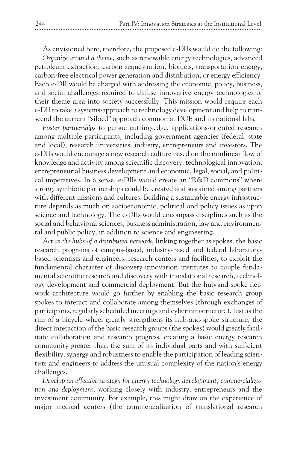As envisioned here, therefore, the proposed e-DIIs would do the following: *Organize around a theme*, such as renewable energy technologies, advanced

petroleum extraction, carbon sequestration, biofuels, transportation energy, carbon-free electrical power generation and distribution, or energy efficiency. Each e-DII would be charged with addressing the economic, policy, business, and social challenges required to diffuse innovative energy technologies of their theme area into society successfully. This mission would require each e-DII to take a systems-approach to technology development and help to transcend the current "siloed" approach common at DOE and its national labs.

*Foster partnerships* to pursue cutting-edge, applications-oriented research among multiple participants, including government agencies (federal, state and local), research universities, industry, entrepreneurs and investors. The e-DIIs would encourage a new research culture based on the nonlinear flow of knowledge and activity among scientific discovery, technological innovation, entrepreneurial business development and economic, legal, social, and political imperatives. In a sense, e-DIIs would create an "R&D commons" where strong, symbiotic partnerships could be created and sustained among partners with different missions and cultures. Building a sustainable energy infrastructure depends as much on socioeconomic, political and policy issues as upon science and technology. The e-DIIs would encompass disciplines such as the social and behavioral sciences, business administration, law and environmental and public policy, in addition to science and engineering.

*Act as the hubs of a distributed network*, linking together as spokes, the basic research programs of campus-based, industry-based and federal laboratorybased scientists and engineers, research centers and facilities, to exploit the fundamental character of discovery-innovation institutes to couple fundamental scientific research and discovery with translational research, technology development and commercial deployment. But the hub-and-spoke network architecture would go further by enabling the basic research group spokes to interact and collaborate among themselves (through exchanges of participants, regularly scheduled meetings and cyberinfrastructure). Just as the rim of a bicycle wheel greatly strengthens its hub-and-spoke structure, the direct interaction of the basic research groups (the spokes) would greatly facilitate collaboration and research progress, creating a basic energy research community greater than the sum of its individual parts and with sufficient flexibility, synergy and robustness to enable the participation of leading scientists and engineers to address the unusual complexity of the nation's energy challenges.

*Develop an effective strategy for energy technology development, commercialization and deployment*, working closely with industry, entrepreneurs and the investment community. For example, this might draw on the experience of major medical centers (the commercialization of translational research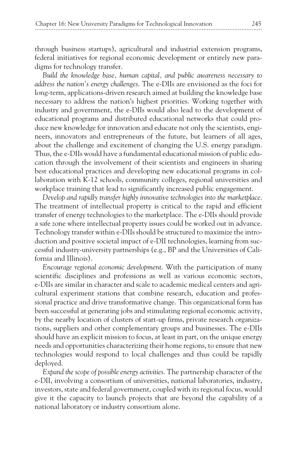through business startups), agricultural and industrial extension programs, federal initiatives for regional economic development or entirely new paradigms for technology transfer.

*Build the knowledge base, human capital, and public awareness necessary to address the nation's energy challenges*. The e-DIIs are envisioned as the foci for long-term, applications-driven research aimed at building the knowledge base necessary to address the nation's highest priorities. Working together with industry and government, the e-DIIs would also lead to the development of educational programs and distributed educational networks that could produce new knowledge for innovation and educate not only the scientists, engineers, innovators and entrepreneurs of the future, but learners of all ages, about the challenge and excitement of changing the U.S. energy paradigm. Thus, the e-DIIs would have a fundamental educational mission of public education through the involvement of their scientists and engineers in sharing best educational practices and developing new educational programs in collaboration with K-12 schools, community colleges, regional universities and workplace training that lead to significantly increased public engagement.

*Develop and rapidly transfer highly innovative technologies into the marketplace*. The treatment of intellectual property is critical to the rapid and efficient transfer of energy technologies to the marketplace. The e-DIIs should provide a safe zone where intellectual property issues could be worked out in advance. Technology transfer within e-DIIs should be structured to maximize the introduction and positive societal impact of e-DII technologies, learning from successful industry-university partnerships (e.g., BP and the Universities of California and Illinois).

*Encourage regional economic development*. With the participation of many scientific disciplines and professions as well as various economic sectors, e-DIIs are similar in character and scale to academic medical centers and agricultural experiment stations that combine research, education and professional practice and drive transformative change. This organizational form has been successful at generating jobs and stimulating regional economic activity, by the nearby location of clusters of start-up firms, private research organizations, suppliers and other complementary groups and businesses. The e-DIIs should have an explicit mission to focus, at least in part, on the unique energy needs and opportunities characterizing their home regions, to ensure that new technologies would respond to local challenges and thus could be rapidly deployed.

*Expand the scope of possible energy activities*. The partnership character of the e-DII, involving a consortium of universities, national laboratories, industry, investors, state and federal government, coupled with its regional focus, would give it the capacity to launch projects that are beyond the capability of a national laboratory or industry consortium alone.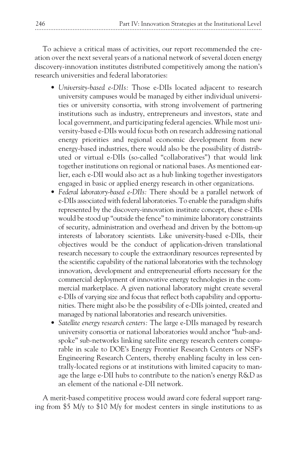To achieve a critical mass of activities, our report recommended the creation over the next several years of a national network of several dozen energy discovery-innovation institutes distributed competitively among the nation's research universities and federal laboratories:

- *University-based e-DIIs:* Those e-DIIs located adjacent to research university campuses would be managed by either individual universities or university consortia, with strong involvement of partnering institutions such as industry, entrepreneurs and investors, state and local government, and participating federal agencies. While most university-based e-DIIs would focus both on research addressing national energy priorities and regional economic development from new energy-based industries, there would also be the possibility of distributed or virtual e-DIIs (so-called "collaboratives") that would link together institutions on regional or national bases. As mentioned earlier, each e-DII would also act as a hub linking together investigators engaged in basic or applied energy research in other organizations.
- *Federal laboratory-based e-DIIs:* There should be a parallel network of e-DIIs associated with federal laboratories. To enable the paradigm shifts represented by the discovery-innovation institute concept, these e-DIIs would be stood up "outside the fence" to minimize laboratory constraints of security, administration and overhead and driven by the bottom-up interests of laboratory scientists. Like university-based e-DIIs, their objectives would be the conduct of application-driven translational research necessary to couple the extraordinary resources represented by the scientific capability of the national laboratories with the technology innovation, development and entrepreneurial efforts necessary for the commercial deployment of innovative energy technologies in the commercial marketplace. A given national laboratory might create several e-DIIs of varying size and focus that reflect both capability and opportunities. There might also be the possibility of e-DIIs jointed, created and managed by national laboratories and research universities.
- *Satellite energy research centers:* The large e-DIIs managed by research university consortia or national laboratories would anchor "hub-andspoke" sub-networks linking satellite energy research centers comparable in scale to DOE's Energy Frontier Research Centers or NSF's Engineering Research Centers, thereby enabling faculty in less centrally-located regions or at institutions with limited capacity to manage the large e-DII hubs to contribute to the nation's energy R&D as an element of the national e-DII network.

A merit-based competitive process would award core federal support ranging from \$5 M/y to \$10 M/y for modest centers in single institutions to as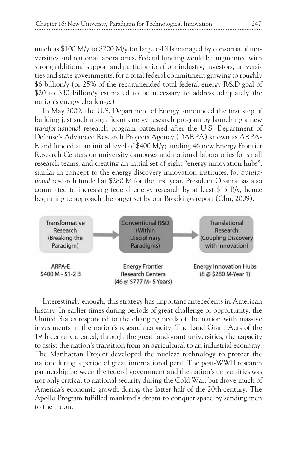much as \$100 M/y to \$200 M/y for large e-DIIs managed by consortia of universities and national laboratories. Federal funding would be augmented with strong additional support and participation from industry, investors, universities and state governments, for a total federal commitment growing to roughly \$6 billion/y (or 25% of the recommended total federal energy R&D goal of \$20 to \$30 billion/y estimated to be necessary to address adequately the nation's energy challenge.)

In May 2009, the U.S. Department of Energy announced the first step of building just such a significant energy research program by launching a new *transformational* research program patterned after the U.S. Department of Defense's Advanced Research Projects Agency (DARPA) known as ARPA-E and funded at an initial level of \$400 M/y; funding 46 new Energy Frontier Research Centers on university campuses and national laboratories for small research teams; and creating an initial set of eight "energy innovation hubs", similar in concept to the energy discovery innovation institutes, for *translational* research funded at \$280 M for the first year. President Obama has also committed to increasing federal energy research by at least \$15 B/y, hence beginning to approach the target set by our Brookings report (Chu, 2009).



Interestingly enough, this strategy has important antecedents in American history. In earlier times during periods of great challenge or opportunity, the United States responded to the changing needs of the nation with massive investments in the nation's research capacity. The Land Grant Acts of the 19th century created, through the great land-grant universities, the capacity to assist the nation's transition from an agricultural to an industrial economy. The Manhattan Project developed the nuclear technology to protect the nation during a period of great international peril. The post-WWII research partnership between the federal government and the nation's universities was not only critical to national security during the Cold War, but drove much of America's economic growth during the latter half of the 20th century. The Apollo Program fulfilled mankind's dream to conquer space by sending men to the moon.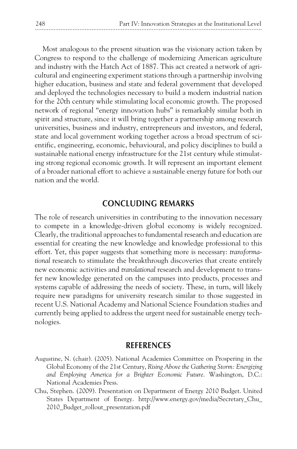Most analogous to the present situation was the visionary action taken by Congress to respond to the challenge of modernizing American agriculture and industry with the Hatch Act of 1887. This act created a network of agricultural and engineering experiment stations through a partnership involving higher education, business and state and federal government that developed and deployed the technologies necessary to build a modern industrial nation for the 20th century while stimulating local economic growth. The proposed network of regional "energy innovation hubs" is remarkably similar both in spirit and structure, since it will bring together a partnership among research universities, business and industry, entrepreneurs and investors, and federal, state and local government working together across a broad spectrum of scientific, engineering, economic, behavioural, and policy disciplines to build a sustainable national energy infrastructure for the 21st century while stimulating strong regional economic growth. It will represent an important element of a broader national effort to achieve a sustainable energy future for both our nation and the world.

#### **CONCLUDING REMARKS**

The role of research universities in contributing to the innovation necessary to compete in a knowledge-driven global economy is widely recognized. Clearly, the traditional approaches to fundamental research and education are essential for creating the new knowledge and knowledge professional to this effort. Yet, this paper suggests that something more is necessary: *transformational* research to stimulate the breakthrough discoveries that create entirely new economic activities and *translational* research and development to transfer new knowledge generated on the campuses into products, processes and systems capable of addressing the needs of society. These, in turn, will likely require new paradigms for university research similar to those suggested in recent U.S. National Academy and National Science Foundation studies and currently being applied to address the urgent need for sustainable energy technologies.

#### **REFERENCES**

- Augustine, N. (chair). (2005). National Academies Committee on Prospering in the Global Economy of the 21st Century, *Rising Above the Gathering Storm: Energizing and Employing America for a Brighter Economic Future*. Washington, D.C.: National Academies Press.
- Chu, Stephen. (2009). Presentation on Department of Energy 2010 Budget. United States Department of Energy. http://www.energy.gov/media/Secretary\_Chu\_ 2010 Budget rollout presentation.pdf